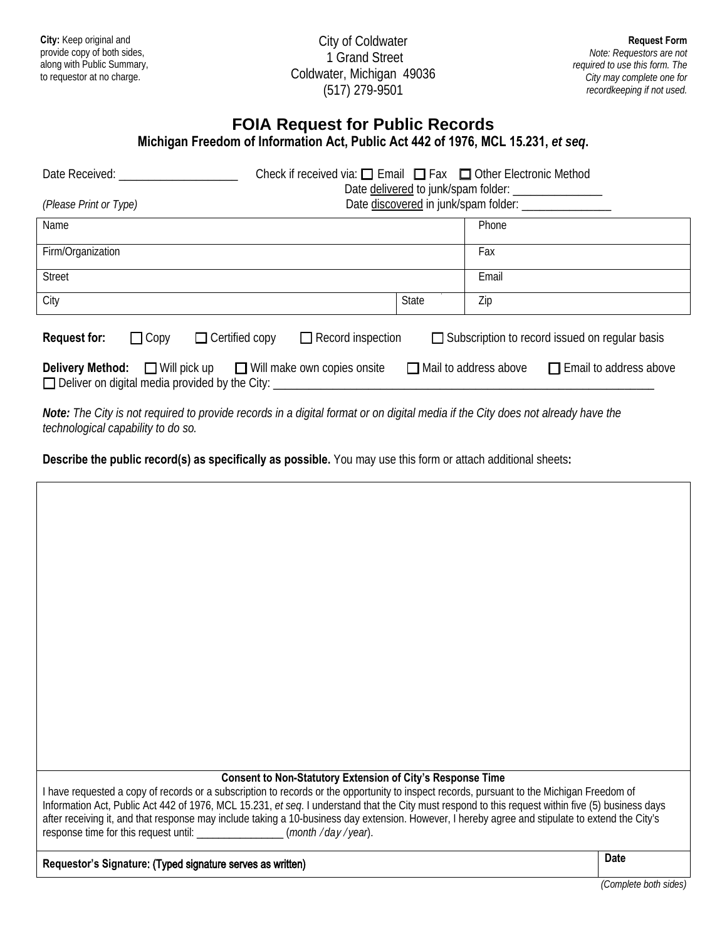**City:** Keep original and provide copy of both sides, along with Public Summary, to requestor at no charge.

City of Coldwater 1 Grand Street Coldwater, Michigan 49036 (517) 279-9501

## **FOIA Request for Public Records**

| Date Received:<br>(Please Print or Type)                                                                                                         | Check if received via: $\Box$ Email $\Box$ Fax $\Box$ Other Electronic Method | Date discovered in junk/spam folder: _________________        |  |
|--------------------------------------------------------------------------------------------------------------------------------------------------|-------------------------------------------------------------------------------|---------------------------------------------------------------|--|
| Name                                                                                                                                             |                                                                               | Phone                                                         |  |
| Firm/Organization                                                                                                                                |                                                                               | Fax                                                           |  |
| <b>Street</b>                                                                                                                                    |                                                                               | Email                                                         |  |
| City                                                                                                                                             | <b>State</b>                                                                  | Zip                                                           |  |
| $\Box$ Record inspection<br>$\Box$ Subscription to record issued on regular basis<br><b>Request for:</b><br>$\Box$ Copy<br>$\Box$ Certified copy |                                                                               |                                                               |  |
| <b>Delivery Method:</b><br>$\Box$ Deliver on digital media provided by the City: $\Box$                                                          | $\Box$ Will pick up $\Box$ Will make own copies onsite                        | $\Box$ Mail to address above<br>$\Box$ Email to address above |  |

*Note: The City is not required to provide records in a digital format or on digital media if the City does not already have the technological capability to do so.*

**Describe the public record(s) as specifically as possible.** You may use this form or attach additional sheets**:** 

| <b>Consent to Non-Statutory Extension of City's Response Time</b>                                                                                                                                                                                                                                                                                                                                                                                                                                                               |             |
|---------------------------------------------------------------------------------------------------------------------------------------------------------------------------------------------------------------------------------------------------------------------------------------------------------------------------------------------------------------------------------------------------------------------------------------------------------------------------------------------------------------------------------|-------------|
| I have requested a copy of records or a subscription to records or the opportunity to inspect records, pursuant to the Michigan Freedom of<br>Information Act, Public Act 442 of 1976, MCL 15.231, et seq. I understand that the City must respond to this request within five (5) business days<br>after receiving it, and that response may include taking a 10-business day extension. However, I hereby agree and stipulate to extend the City's<br>response time for this request until: ________________(month/day/year). |             |
| Requestor's Signature: (Typed signature serves as written)                                                                                                                                                                                                                                                                                                                                                                                                                                                                      | <b>Date</b> |